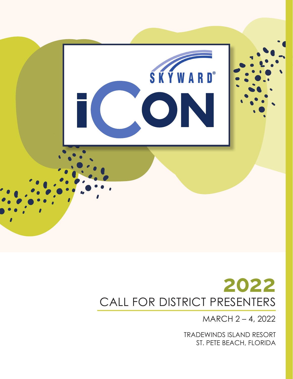

MARCH 2 – 4, 2022

TRADEWINDS ISLAND RESORT ST. PETE BEACH, FLORIDA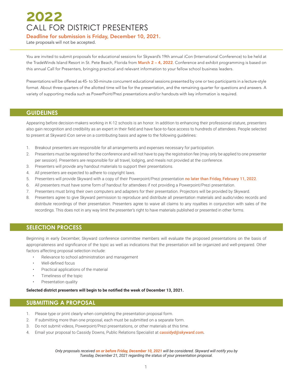Deadline for submission is Friday, December 10, 2021.

Late proposals will not be accepted.

You are invited to submit proposals for educational sessions for Skyward's 19th annual iCon (International Conference) to be held at the TradeWinds Island Resort in St. Pete Beach, Florida from March 2 – 4, 2022. Conference and exhibit programming is based on this annual Call for Presenters, bringing practical and relevant information to your fellow school business leaders.

Presentations will be offered as 45- to 50-minute concurrent educational sessions presented by one or two participants in a lecture-style format. About three-quarters of the allotted time will be for the presentation, and the remaining quarter for questions and answers. A variety of supporting media such as PowerPoint/Prezi presentations and/or handouts with key information is required.

### **GUIDELINES**

Appearing before decision-makers working in K-12 schools is an honor. In addition to enhancing their professional stature, presenters also gain recognition and credibility as an expert in their field and have face-to-face access to hundreds of attendees. People selected to present at Skyward iCon serve on a contributing basis and agree to the following guidelines:

- 1. Breakout presenters are responsible for all arrangements and expenses necessary for participation.
- 2. Presenters must be registered for the conference and will not have to pay the registration fee (may only be applied to one presenter per session). Presenters are responsible for all travel, lodging, and meals not provided at the conference.
- 3. Presenters will provide any handout materials to support their presentations.
- 4. All presenters are expected to adhere to copyright laws.
- 5. Presenters will provide Skyward with a copy of their Powerpoint/Prezi presentation no later than Friday, February 11, 2022.
- 6. All presenters must have some form of handout for attendees if not providing a Powerpoint/Prezi presentation.
- 7. Presenters must bring their own computers and adapters for their presentation. Projectors will be provided by Skyward.
- 8. Presenters agree to give Skyward permission to reproduce and distribute all presentation materials and audio/video records and distribute recordings of their presentation. Presenters agree to waive all claims to any royalties in conjunction with sales of the recordings. This does not in any way limit the presenter's right to have materials published or presented in other forms.

## **SELECTION PROCESS**

Beginning in early December, Skyward conference committee members will evaluate the proposed presentations on the basis of appropriateness and significance of the topic as well as indications that the presentation will be organized and well-prepared. Other factors affecting proposal selection include:

- Relevance to school administration and management
- Well-defined focus
- Practical applications of the material
- Timeliness of the topic
- Presentation quality

**Selected district presenters will begin to be notified the week of December 13, 2021.**

### **SUBMITTING A PROPOSAL**

- 1. Please type or print clearly when completing the presentation proposal form.
- 2. If submitting more than one proposal, each must be submitted on a separate form.
- 3. Do not submit videos, Powerpoint/Prezi presentations, or other materials at this time.
- 4. Email your proposal to Cassidy Downs, Public Relations Specialist at *cassidyd@skyward.com.*

*Only proposals received on or before Friday, December 10, 2021 will be considered. Skyward will notify you by Tuesday, December 21, 2021 regarding the status of your presentation proposal.*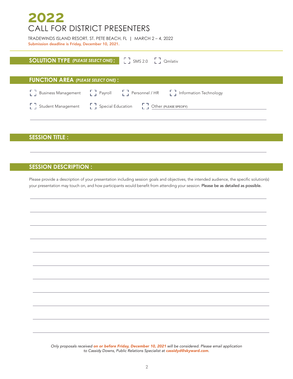TRADEWINDS ISLAND RESORT, ST. PETE BEACH, FL **|** MARCH 2 – 4, 2022 Submission deadline is Friday, December 10, 2021.

# **SOLUTION TYPE** (PLEASE SELECT ONE) :  $\begin{bmatrix} 1 \\ 2 \end{bmatrix}$  SMS 2.0  $\begin{bmatrix} 1 \\ 2 \end{bmatrix}$  Qmlativ

### **FUNCTION AREA :** *(PLEASE SELECT ONE)*

| [] Business Management [] Payroll [] Personnel / HR [] Information Technology |  |  |
|-------------------------------------------------------------------------------|--|--|
| [] Student Management [] Special Education [] Other (PLEASE SPECIFY)          |  |  |

# **SESSION TITLE :**

# **SESSION DESCRIPTION :**

Please provide a description of your presentation including session goals and objectives, the intended audience, the specific solution(s) your presentation may touch on, and how participants would benefit from attending your session. Please be as detailed as possible.

*Only proposals received on or before Friday, December 10, 2021 will be considered. Please email application to Cassidy Downs, Public Relations Specialist at cassidyd@skyward.com.*